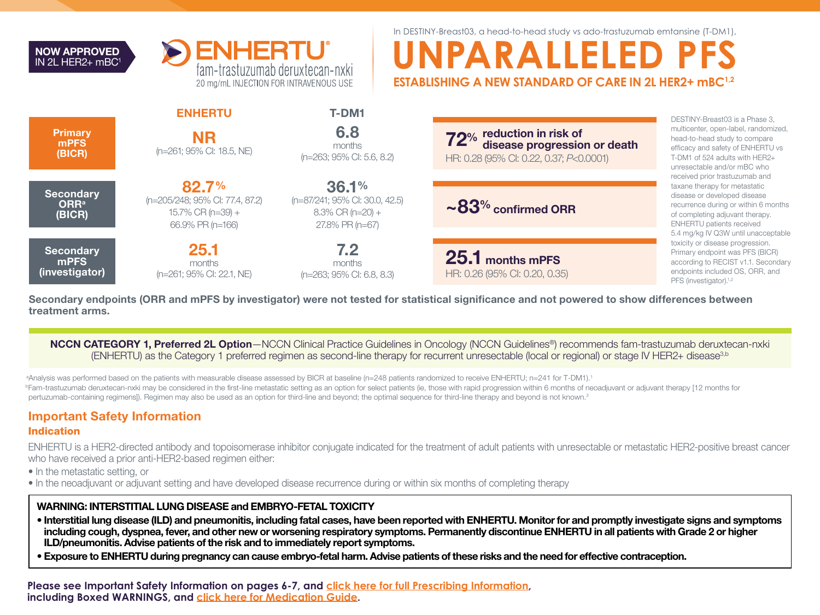



In DESTINY-Breast03, a head-to-head study vs ado-trastuzumab emtansine (T-DM1),

# **UNPARALLELED PFS ESTABLISHING A NEW STANDARD OF CARE IN 2L HER2+ mBC1,2**

| Primary<br>mPFS<br>(BICR)                             | <b>ENHERTU</b><br><b>NR</b><br>(n=261; 95% CI: 18.5, NE)                             | <b>T-DM1</b><br>6.8<br>months<br>(n=263; 95% CI: 5.6, 8.2)                        | <b>72</b> % reduction in risk of<br><b>72</b> % disease progression or death<br>HR: 0.28 (95% CI: 0.22, 0.37; P<0.0001) | DESTINY-Breast03 is a Phase 3,<br>multicenter, open-label, randomized,<br>head-to-head study to compare<br>efficacy and safety of ENHERTU vs<br>T-DM1 of 524 adults with HER2+<br>unresectable and/or mBC who                                         |  |
|-------------------------------------------------------|--------------------------------------------------------------------------------------|-----------------------------------------------------------------------------------|-------------------------------------------------------------------------------------------------------------------------|-------------------------------------------------------------------------------------------------------------------------------------------------------------------------------------------------------------------------------------------------------|--|
| <b>Secondary</b><br><b>ORR</b> <sup>a</sup><br>(BICR) | 82.7%<br>(n=205/248; 95% CI: 77.4, 87.2)<br>$15.7\%$ CR (n=39) +<br>66.9% PR (n=166) | 36.1%<br>(n=87/241; 95% CI: 30.0, 42.5)<br>$8.3\%$ CR (n=20) +<br>27.8% PR (n=67) | $\sim$ 83% confirmed ORR                                                                                                | received prior trastuzumab and<br>taxane therapy for metastatic<br>disease or developed disease<br>recurrence during or within 6 months<br>of completing adjuvant therapy.<br><b>ENHERTU</b> patients received<br>5.4 mg/kg IV Q3W until unacceptable |  |
| <b>Secondary</b><br>mPFS<br>(investigator)            | 25.1<br>months<br>(n=261; 95% CI: 22.1, NE)                                          | 7.2<br>months<br>(n=263; 95% CI: 6.8, 8.3)                                        | 25.1 months mPFS<br>HR: 0.26 (95% CI: 0.20, 0.35)                                                                       | toxicity or disease progression.<br>Primary endpoint was PFS (BICR)<br>according to RECIST v1.1. Secondary<br>endpoints included OS, ORR, and<br>PFS (investigator). <sup>1,2</sup>                                                                   |  |

Secondary endpoints (ORR and mPFS by investigator) were not tested for statistical significance and not powered to show differences between treatment arms.

NCCN CATEGORY 1, Preferred 2L Option-NCCN Clinical Practice Guidelines in Oncology (NCCN Guidelines<sup>®</sup>) recommends fam-trastuzumab deruxtecan-nxki (ENHERTU) as the Category 1 preferred regimen as second-line therapy for recurrent unresectable (local or regional) or stage IV HER2+ disease3,b

a Analysis was performed based on the patients with measurable disease assessed by BICR at baseline (n=248 patients randomized to receive ENHERTU; n=241 for T-DM1).1 **Fam-trastuzumab deruxtecan-nxki may be considered in the first-line metastatic setting as an option for select patients (ie, those with rapid progression within 6 months of neoadjuvant or adjuvant therapy [12 months for** pertuzumab-containing regimens]). Regimen may also be used as an option for third-line and beyond; the optimal sequence for third-line therapy and beyond is not known.<sup>3</sup>

# Important Safety Information

### Indication

ENHERTU is a HER2-directed antibody and topoisomerase inhibitor conjugate indicated for the treatment of adult patients with unresectable or metastatic HER2-positive breast cancer who have received a prior anti-HER2-based regimen either:

- In the metastatic setting, or
- In the neoadjuvant or adjuvant setting and have developed disease recurrence during or within six months of completing therapy

## WARNING: INTERSTITIAL LUNG DISEASE and EMBRYO-FETAL TOXICITY

- Interstitial lung disease (ILD) and pneumonitis, including fatal cases, have been reported with ENHERTU. Monitor for and promptly investigate signs and symptoms including cough, dyspnea, fever, and other new or worsening respiratory symptoms. Permanently discontinue ENHERTU in all patients with Grade 2 or higher ILD/pneumonitis. Advise patients of the risk and to immediately report symptoms.
- Exposure to ENHERTU during pregnancy can cause embryo-fetal harm. Advise patients of these risks and the need for effective contraception.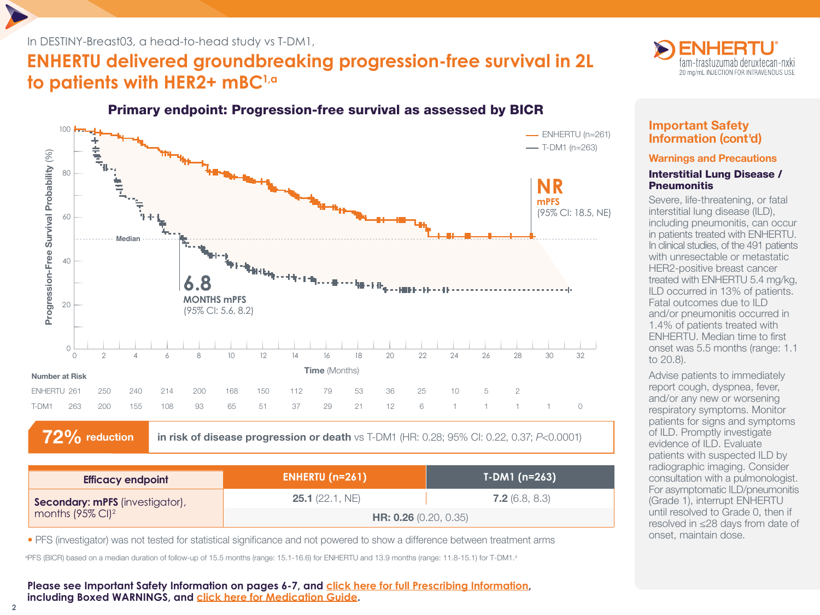## In DESTINY-Breast03, a head-to-head study vs T-DM1,

# **ENHERTU delivered groundbreaking progression-free survival in 2L to patients with HER2+ mBC1,a**

# Primary endpoint: Progression-free survival as assessed by BICR



72% reduction in risk of disease progression or death vs T-DM1 (HR: 0.28; 95% CI: 0.22, 0.37; *P*<0.0001)

| <b>Efficacy endpoint</b>        | ENHERTU $(n=261)$            | $T-DM1$ (n=263)       |
|---------------------------------|------------------------------|-----------------------|
| Secondary: mPFS (investigator), | <b>25.1</b> (22.1, NE)       | <b>7.2</b> (6.8, 8.3) |
| months $(95\% \text{ Cl})^2$    | <b>HR: 0.26</b> (0.20, 0.35) |                       |

• PFS (investigator) was not tested for statistical significance and not powered to show a difference between treatment arms

a PFS (BICR) based on a median duration of follow-up of 15.5 months (range: 15.1-16.6) for ENHERTU and 13.9 months (range: 11.8-15.1) for T-DM1.4

**Please see Important Safety Information on pages 6-7, and [click here for full Prescribing Information,](https://daiichisankyo.us/prescribing-information-portlet/getPIContent?productName=Enhertu&inline=true) including Boxed WARNINGS, and [click here for Medication Guide.](https://daiichisankyo.us/prescribing-information-portlet/getPIContent?productName=Enhertu_Med&inline=true)**



# Important Safety Information (cont'd)

### Warnings and Precautions

### Interstitial Lung Disease / **Pneumonitis**

Severe, life-threatening, or fatal interstitial lung disease (ILD), including pneumonitis, can occur in patients treated with ENHERTU. In clinical studies, of the 491 patients with unresectable or metastatic HER2-positive breast cancer treated with ENHERTU 5.4 mg/kg, ILD occurred in 13% of patients. Fatal outcomes due to ILD and/or pneumonitis occurred in 1.4% of patients treated with ENHERTU. Median time to first onset was 5.5 months (range: 1.1 to 20.8).

Advise patients to immediately report cough, dyspnea, fever, and/or any new or worsening respiratory symptoms. Monitor patients for signs and symptoms of ILD. Promptly investigate evidence of ILD. Evaluate patients with suspected ILD by radiographic imaging. Consider consultation with a pulmonologist. For asymptomatic ILD/pneumonitis (Grade 1), interrupt ENHERTU until resolved to Grade 0, then if resolved in ≤28 days from date of onset, maintain dose.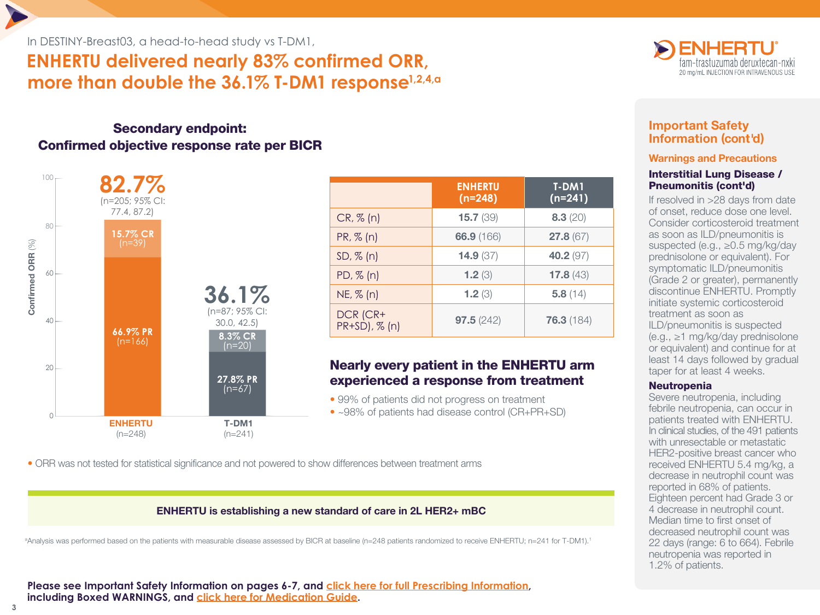In DESTINY-Breast03, a head-to-head study vs T-DM1,

# **ENHERTU delivered nearly 83% confirmed ORR, more than double the 36.1% T-DM1 response1,2,4,a**

# Secondary endpoint: Confirmed objective response rate per BICR



|                           | <b>ENHERTU</b><br>$(n=248)$ | <b>T-DM1</b><br>$(n=241)$ |
|---------------------------|-----------------------------|---------------------------|
| CR, % (n)                 | 15.7(39)                    | 8.3(20)                   |
| PR, % (n)                 | 66.9 (166)                  | 27.8(67)                  |
| $SD, \% (n)$              | 14.9(37)                    | 40.2 (97)                 |
| $PD, \% (n)$              | 1.2 $(3)$                   | 17.8(43)                  |
| $NE, \% (n)$              | 1.2(3)                      | 5.8(14)                   |
| DCR (CR+<br>PR+SD), % (n) | 97.5(242)                   | 76.3(184)                 |

# Nearly every patient in the ENHERTU arm experienced a response from treatment

• 99% of patients did not progress on treatment • ~98% of patients had disease control (CR+PR+SD)

• ORR was not tested for statistical significance and not powered to show differences between treatment arms

## ENHERTU is establishing a new standard of care in 2L HER2+ mBC

a Analysis was performed based on the patients with measurable disease assessed by BICR at baseline (n=248 patients randomized to receive ENHERTU; n=241 for T-DM1).1



# Important Safety Information (cont'd)

### Warnings and Precautions

### Interstitial Lung Disease / Pneumonitis (cont'd)

If resolved in >28 days from date of onset, reduce dose one level. Consider corticosteroid treatment as soon as ILD/pneumonitis is suspected (e.g., ≥0.5 mg/kg/day prednisolone or equivalent). For symptomatic ILD/pneumonitis (Grade 2 or greater), permanently discontinue ENHERTU. Promptly initiate systemic corticosteroid treatment as soon as ILD/pneumonitis is suspected (e.g., ≥1 mg/kg/day prednisolone or equivalent) and continue for at least 14 days followed by gradual taper for at least 4 weeks.

## **Neutropenia**

Severe neutropenia, including febrile neutropenia, can occur in patients treated with ENHERTU. In clinical studies, of the 491 patients with unresectable or metastatic HER2-positive breast cancer who received ENHERTU 5.4 mg/kg, a decrease in neutrophil count was reported in 68% of patients. Eighteen percent had Grade 3 or 4 decrease in neutrophil count. Median time to first onset of decreased neutrophil count was 22 days (range: 6 to 664). Febrile neutropenia was reported in 1.2% of patients.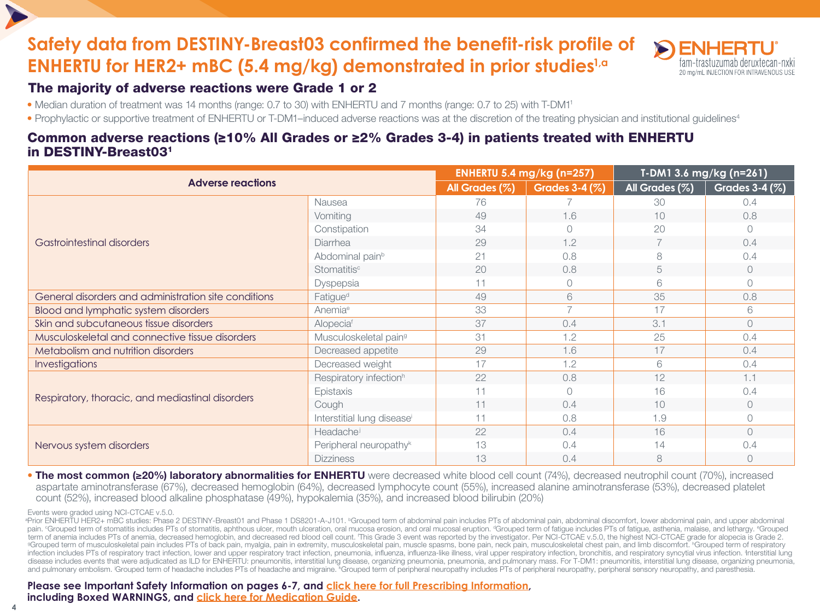# **Safety data from DESTINY-Breast03 confirmed the benefit-risk profile of ENHERTU for HER2+ mBC (5.4 mg/kg) demonstrated in prior studies1,a**



# The majority of adverse reactions were Grade 1 or 2

- Median duration of treatment was 14 months (range: 0.7 to 30) with ENHERTU and 7 months (range: 0.7 to 25) with T-DM11
- Prophylactic or supportive treatment of ENHERTU or T-DM1-induced adverse reactions was at the discretion of the treating physician and institutional guidelines<sup>4</sup>

# Common adverse reactions (≥10% All Grades or ≥2% Grades 3-4) in patients treated with ENHERTU in DESTINY-Breast031

| <b>Adverse reactions</b>                             |                                        | <b>ENHERTU 5.4 mg/kg (n=257)</b> |                     | T-DM1 3.6 mg/kg (n=261) |                       |
|------------------------------------------------------|----------------------------------------|----------------------------------|---------------------|-------------------------|-----------------------|
|                                                      |                                        | All Grades (%)                   | Grades $3-4$ $(\%)$ | All Grades (%)          | <b>Grades 3-4 (%)</b> |
|                                                      | Nausea                                 | 76                               |                     | 30                      | 0.4                   |
|                                                      | Vomiting                               | 49                               | 1.6                 | 10                      | 0.8                   |
|                                                      | Constipation                           | 34                               |                     | 20                      | $\Omega$              |
| Gastrointestinal disorders                           | Diarrhea                               | 29                               | 1.2                 |                         | 0.4                   |
|                                                      | Abdominal pain <sup>b</sup>            | 21                               | 0.8                 | 8                       | 0.4                   |
|                                                      | Stomatitis <sup>c</sup>                | 20                               | 0.8                 | 5                       | $\bigcirc$            |
|                                                      | Dyspepsia                              | 11                               | $\circ$             | 6                       | $\bigcirc$            |
| General disorders and administration site conditions | Fatigue <sup>d</sup>                   | 49                               | 6                   | 35                      | 0.8                   |
| <b>Blood and lymphatic system disorders</b>          | Anemia <sup>e</sup>                    | 33                               | $\overline{7}$      | 17                      | 6                     |
| Skin and subcutaneous tissue disorders               | Alopeciaf                              | 37                               | 0.4                 | 3.1                     | $\bigcirc$            |
| Musculoskeletal and connective tissue disorders      | Musculoskeletal pain <sup>9</sup>      | 31                               | 1.2                 | 25                      | 0.4                   |
| Metabolism and nutrition disorders                   | Decreased appetite                     | 29                               | 1.6                 | 17                      | 0.4                   |
| <b>Investigations</b>                                | Decreased weight                       | 17                               | 1.2                 | 6                       | 0.4                   |
|                                                      | Respiratory infection <sup>h</sup>     | 22                               | 0.8                 | 12                      | 1.1                   |
|                                                      | Epistaxis                              | 11                               | $\bigcap$           | 16                      | 0.4                   |
| Respiratory, thoracic, and mediastinal disorders     | Cough                                  | 11                               | 0.4                 | 10                      | $\bigcirc$            |
|                                                      | Interstitial lung disease <sup>i</sup> | 11                               | 0.8                 | 1.9                     | $\circ$               |
|                                                      | Headachei                              | 22                               | 0.4                 | 16                      | $\bigcirc$            |
| Nervous system disorders                             | Peripheral neuropathy <sup>k</sup>     | 13                               | 0.4                 | 14                      | 0.4                   |
|                                                      | <b>Dizziness</b>                       | 13                               | 0.4                 | 8                       | $\bigcirc$            |

• The most common (≥20%) laboratory abnormalities for ENHERTU were decreased white blood cell count (74%), decreased neutrophil count (70%), increased aspartate aminotransferase (67%), decreased hemoglobin (64%), decreased lymphocyte count (55%), increased alanine aminotransferase (53%), decreased platelet count (52%), increased blood alkaline phosphatase (49%), hypokalemia (35%), and increased blood bilirubin (20%)

Events were graded using NCI-CTCAE v.5.0.

<sup>a</sup>Prior ENHERTU HER2+ mBC studies: Phase 2 DESTINY-Breast01 and Phase 1 DS8201-A-J101. <sup>b</sup>Grouped term of abdominal pain includes PTs of abdominal pain, abdominal discomfort, lower abdominal pain, and upper abdominal pain. "Grouped term of stomatitis includes PTs of stomatitis, aphthous ulcer, mouth ulceration, oral mucosa erosion, and oral mucosal eruption. "Grouped term of fatigue includes PTs of fatigue, asthenia, malaise, and letha term of anemia includes PTs of anemia, decreased hemoglobin, and decreased red blood cell count. This Grade 3 event was reported by the investigator. Per NCI-CTCAE v.5.0, the highest NCI-CTCAE grade for alopecia is Grade 2 Grouped term of musculoskeletal pain includes PTs of back pain, myalgia, pain in extremity, musculoskeletal pain, muscle spasms, bone pain, neck pain, musculoskeletal chest pain, and limb discomfort. "Grouped term of respi infection includes PTs of respiratory tract infection, lower and upper respiratory tract infection, pneumonia, influenza, influenza-like illness, viral upper respiratory infection, bronchitis, and respiratory syncytial vir disease includes events that were adjudicated as ILD for ENHERTU: pneumonitis, interstitial lung disease, organizing pneumonia, pneumonia, and pulmonary mass. For T-DM1: pneumonitis, interstitial lung disease, organizing p and pulmonary embolism. Grouped term of headache includes PTs of headache and migraine. KGrouped term of peripheral neuropathy includes PTs of peripheral neuropathy, peripheral sensory neuropathy, and paresthesia.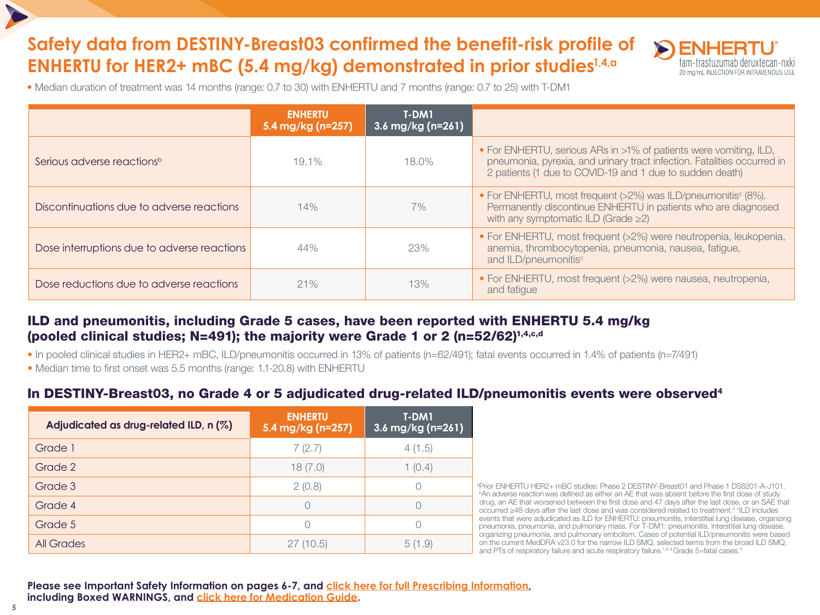# **Safety data from DESTINY-Breast03 confirmed the benefit-risk profile of ENHERTU for HER2+ mBC (5.4 mg/kg) demonstrated in prior studies1,4,a**



• Median duration of treatment was 14 months (range: 0.7 to 30) with ENHERTU and 7 months (range: 0.7 to 25) with T-DM1

|                                             | <b>ENHERTU</b><br>5.4 mg/kg (n=257) | T-DM1<br>$3.6 \,\mathrm{mg/kg}$ (n=261) |                                                                                                                                                                                                          |
|---------------------------------------------|-------------------------------------|-----------------------------------------|----------------------------------------------------------------------------------------------------------------------------------------------------------------------------------------------------------|
| Serious adverse reactions <sup>b</sup>      | $19.1\%$                            | 18.0%                                   | • For ENHERTU, serious ARs in >1% of patients were vomiting, ILD,<br>pneumonia, pyrexia, and urinary tract infection. Fatalities occurred in<br>2 patients (1 due to COVID-19 and 1 due to sudden death) |
| Discontinuations due to adverse reactions   | 14%                                 | 7%                                      | • For ENHERTU, most frequent (>2%) was ILD/pneumonitis <sup>c</sup> (8%).<br>Permanently discontinue ENHERTU in patients who are diagnosed<br>with any symptomatic ILD (Grade $\geq$ 2)                  |
| Dose interruptions due to adverse reactions | 44%                                 | 23%                                     | • For ENHERTU, most frequent (>2%) were neutropenia, leukopenia,<br>anemia, thrombocytopenia, pneumonia, nausea, fatigue,<br>and ILD/pneumonitis <sup>c</sup>                                            |
| Dose reductions due to adverse reactions    | 21%                                 | 13%                                     | • For ENHERTU, most frequent (>2%) were nausea, neutropenia,<br>and fatigue                                                                                                                              |

# ILD and pneumonitis, including Grade 5 cases, have been reported with ENHERTU 5.4 mg/kg (pooled clinical studies; N=491); the majority were Grade 1 or 2 (n=52/62)1,4,c,d

• In pooled clinical studies in HER2+ mBC, ILD/pneumonitis occurred in 13% of patients (n=62/491); fatal events occurred in 1.4% of patients (n=7/491)

• Median time to first onset was 5.5 months (range: 1.1-20.8) with ENHERTU

# In DESTINY-Breast03, no Grade 4 or 5 adjudicated drug-related ILD/pneumonitis events were observed<sup>4</sup>

| Adjudicated as drug-related ILD, n (%) | <b>ENHERTU</b><br>5.4 mg/kg (n=257) | T-DM1<br>$3.6 \,\mathrm{mg/kg}$ (n=261) |
|----------------------------------------|-------------------------------------|-----------------------------------------|
| Grade 1                                | 7(2.7)                              | 4(1.5)                                  |
| Grade 2                                | 18(7.0)                             | 1(0.4)                                  |
| Grade 3                                | 2(0.8)                              |                                         |
| Grade 4                                | C                                   |                                         |
| Grade 5                                |                                     |                                         |
| <b>All Grades</b>                      | 27 (10.5)                           | 5(1.9)                                  |

a Prior ENHERTU HER2+ mBC studies: Phase 2 DESTINY-Breast01 and Phase 1 DS8201-A-J101. **bAn adverse reaction was defined as either an AE that was absent before the first dose of study**  drug, an AE that worsened between the first dose and 47 days after the last dose, or an SAE that occurred ≥48 days after the last dose and was considered related to treatment.<sup>4 c</sup>ILD includes events that were adjudicated as ILD for ENHERTU: pneumonitis, interstitial lung disease, organizing pneumonia, pneumonia, and pulmonary mass. For T-DM1: pneumonitis, interstitial lung disease, organizing pneumonia, and pulmonary embolism. Cases of potential ILD/pneumonitis were based on the current MedDRA v23.0 for the narrow ILD SMQ, selected terms from the broad ILD SMQ, and PTs of respiratory failure and acute respiratory failure.<sup>1,4 d</sup> Grade 5=fatal cases.<sup>4</sup>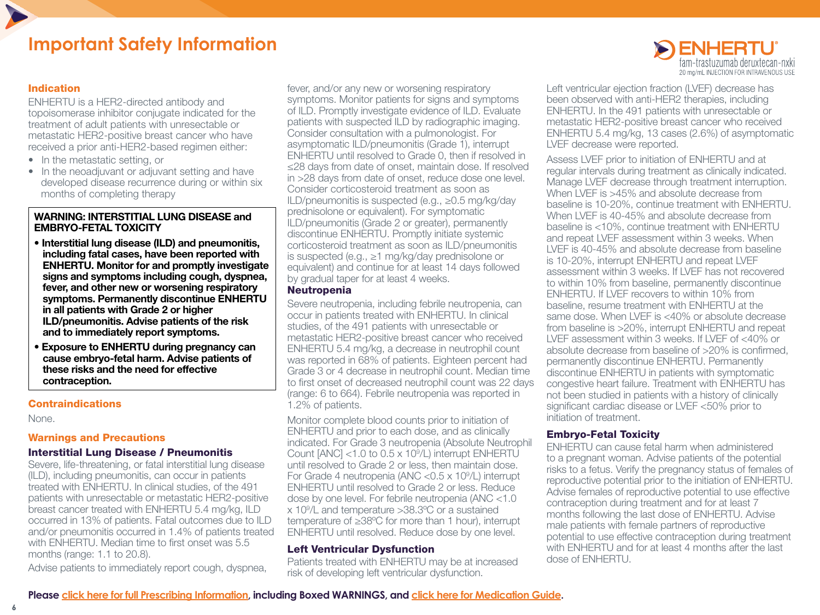# **Important Safety Information**

## Indication

ENHERTU is a HER2-directed antibody and topoisomerase inhibitor conjugate indicated for the treatment of adult patients with unresectable or metastatic HER2-positive breast cancer who have received a prior anti-HER2-based regimen either:

- In the metastatic setting, or
- In the neoadjuvant or adjuvant setting and have developed disease recurrence during or within six months of completing therapy

### WARNING: INTERSTITIAL LUNG DISEASE and EMBRYO-FETAL TOXICITY

- Interstitial lung disease (ILD) and pneumonitis, including fatal cases, have been reported with ENHERTU. Monitor for and promptly investigate signs and symptoms including cough, dyspnea, fever, and other new or worsening respiratory symptoms. Permanently discontinue ENHERTU in all patients with Grade 2 or higher ILD/pneumonitis. Advise patients of the risk and to immediately report symptoms.
- Exposure to ENHERTU during pregnancy can cause embryo-fetal harm. Advise patients of these risks and the need for effective contraception.

## **Contraindications**

None.

### Warnings and Precautions

### Interstitial Lung Disease / Pneumonitis

Severe, life-threatening, or fatal interstitial lung disease (ILD), including pneumonitis, can occur in patients treated with ENHERTU. In clinical studies, of the 491 patients with unresectable or metastatic HER2-positive breast cancer treated with ENHERTU 5.4 mg/kg, ILD occurred in 13% of patients. Fatal outcomes due to ILD and/or pneumonitis occurred in 1.4% of patients treated with ENHERTU. Median time to first onset was 5.5 months (range: 1.1 to 20.8).

Advise patients to immediately report cough, dyspnea,

fever, and/or any new or worsening respiratory symptoms. Monitor patients for signs and symptoms of ILD. Promptly investigate evidence of ILD. Evaluate patients with suspected ILD by radiographic imaging. Consider consultation with a pulmonologist. For asymptomatic ILD/pneumonitis (Grade 1), interrupt ENHERTU until resolved to Grade 0, then if resolved in ≤28 days from date of onset, maintain dose. If resolved in >28 days from date of onset, reduce dose one level. Consider corticosteroid treatment as soon as ILD/pneumonitis is suspected (e.g., ≥0.5 mg/kg/day prednisolone or equivalent). For symptomatic ILD/pneumonitis (Grade 2 or greater), permanently discontinue ENHERTU. Promptly initiate systemic corticosteroid treatment as soon as ILD/pneumonitis is suspected (e.g., ≥1 mg/kg/day prednisolone or equivalent) and continue for at least 14 days followed by gradual taper for at least 4 weeks.

#### Neutropenia

Severe neutropenia, including febrile neutropenia, can occur in patients treated with ENHERTU. In clinical studies, of the 491 patients with unresectable or metastatic HER2-positive breast cancer who received ENHERTU 5.4 mg/kg, a decrease in neutrophil count was reported in 68% of patients. Eighteen percent had Grade 3 or 4 decrease in neutrophil count. Median time to first onset of decreased neutrophil count was 22 days (range: 6 to 664). Febrile neutropenia was reported in 1.2% of patients.

Monitor complete blood counts prior to initiation of ENHERTU and prior to each dose, and as clinically indicated. For Grade 3 neutropenia (Absolute Neutrophil Count  $[ANC] < 1.0$  to  $0.5 \times 10^9/L$ ) interrupt ENHERTU until resolved to Grade 2 or less, then maintain dose. For Grade 4 neutropenia (ANC < 0.5 x 10<sup>9</sup>/L) interrupt ENHERTU until resolved to Grade 2 or less. Reduce dose by one level. For febrile neutropenia (ANC <1.0 x 109 /L and temperature >38.3ºC or a sustained temperature of ≥38ºC for more than 1 hour), interrupt ENHERTU until resolved. Reduce dose by one level.

## Left Ventricular Dysfunction

Patients treated with ENHERTU may be at increased risk of developing left ventricular dysfunction.



Left ventricular ejection fraction (LVEF) decrease has been observed with anti-HER2 therapies, including ENHERTU. In the 491 patients with unresectable or metastatic HER2-positive breast cancer who received ENHERTU 5.4 mg/kg, 13 cases (2.6%) of asymptomatic LVEF decrease were reported.

Assess LVEF prior to initiation of ENHERTU and at regular intervals during treatment as clinically indicated. Manage LVEF decrease through treatment interruption. When LVEF is >45% and absolute decrease from baseline is 10-20%, continue treatment with ENHERTU. When LVEF is 40-45% and absolute decrease from baseline is <10%, continue treatment with ENHERTU and repeat LVEF assessment within 3 weeks. When LVEF is 40-45% and absolute decrease from baseline is 10-20%, interrupt ENHERTU and repeat LVEF assessment within 3 weeks. If LVEF has not recovered to within 10% from baseline, permanently discontinue ENHERTU. If LVEF recovers to within 10% from baseline, resume treatment with ENHERTU at the same dose. When LVEF is <40% or absolute decrease from baseline is >20%, interrupt ENHERTU and repeat LVEF assessment within 3 weeks. If LVEF of <40% or absolute decrease from baseline of >20% is confirmed, permanently discontinue ENHERTU. Permanently discontinue ENHERTU in patients with symptomatic congestive heart failure. Treatment with ENHERTU has not been studied in patients with a history of clinically significant cardiac disease or LVEF <50% prior to initiation of treatment.

## Embryo-Fetal Toxicity

ENHERTU can cause fetal harm when administered to a pregnant woman. Advise patients of the potential risks to a fetus. Verify the pregnancy status of females of reproductive potential prior to the initiation of ENHERTU. Advise females of reproductive potential to use effective contraception during treatment and for at least 7 months following the last dose of ENHERTU. Advise male patients with female partners of reproductive potential to use effective contraception during treatment with ENHERTU and for at least 4 months after the last dose of ENHERTU.

**Please [click here for full Prescribing Information](https://daiichisankyo.us/prescribing-information-portlet/getPIContent?productName=Enhertu&inline=true), including Boxed WARNINGS, and [click here for Medication Guide](https://daiichisankyo.us/prescribing-information-portlet/getPIContent?productName=Enhertu_Med&inline=true).**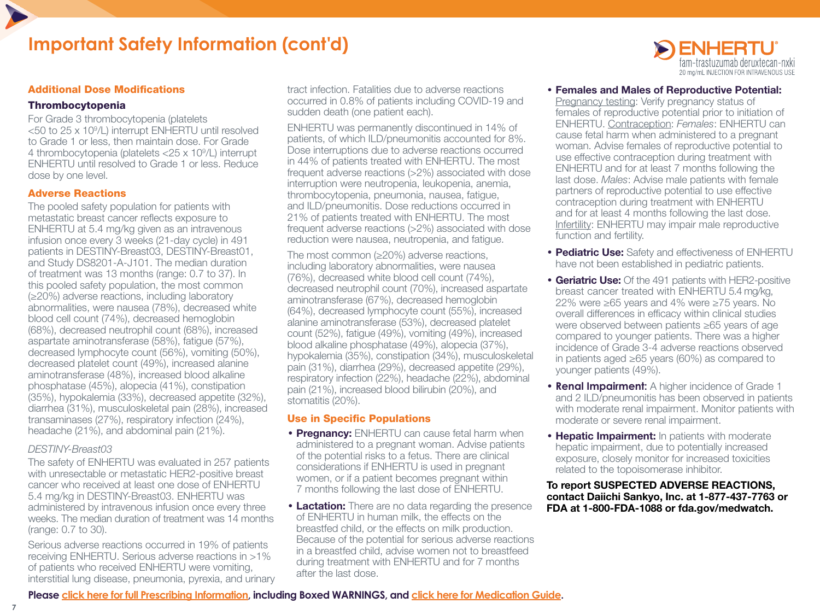

#### Additional Dose Modifications

#### Thrombocytopenia

For Grade 3 thrombocytopenia (platelets <50 to 25 x 109 /L) interrupt ENHERTU until resolved to Grade 1 or less, then maintain dose. For Grade 4 thrombocytopenia (platelets <25 x 109 /L) interrupt ENHERTU until resolved to Grade 1 or less. Reduce dose by one level.

#### Adverse Reactions

The pooled safety population for patients with metastatic breast cancer reflects exposure to ENHERTU at 5.4 mg/kg given as an intravenous infusion once every 3 weeks (21-day cycle) in 491 patients in DESTINY-Breast03, DESTINY-Breast01, and Study DS8201-A-J101. The median duration of treatment was 13 months (range: 0.7 to 37). In this pooled safety population, the most common (≥20%) adverse reactions, including laboratory abnormalities, were nausea (78%), decreased white blood cell count (74%), decreased hemoglobin (68%), decreased neutrophil count (68%), increased aspartate aminotransferase (58%), fatigue (57%), decreased lymphocyte count (56%), vomiting (50%), decreased platelet count (49%), increased alanine aminotransferase (48%), increased blood alkaline phosphatase (45%), alopecia (41%), constipation (35%), hypokalemia (33%), decreased appetite (32%), diarrhea (31%), musculoskeletal pain (28%), increased transaminases (27%), respiratory infection (24%), headache (21%), and abdominal pain (21%).

#### *DESTINY-Breast03*

The safety of ENHERTU was evaluated in 257 patients with unresectable or metastatic HER2-positive breast cancer who received at least one dose of ENHERTU 5.4 mg/kg in DESTINY-Breast03. ENHERTU was administered by intravenous infusion once every three weeks. The median duration of treatment was 14 months (range: 0.7 to 30).

Serious adverse reactions occurred in 19% of patients receiving ENHERTU. Serious adverse reactions in >1% of patients who received ENHERTU were vomiting, interstitial lung disease, pneumonia, pyrexia, and urinary tract infection. Fatalities due to adverse reactions occurred in 0.8% of patients including COVID-19 and sudden death (one patient each).

ENHERTU was permanently discontinued in 14% of patients, of which ILD/pneumonitis accounted for 8%. Dose interruptions due to adverse reactions occurred in 44% of patients treated with ENHERTU. The most frequent adverse reactions (>2%) associated with dose interruption were neutropenia, leukopenia, anemia, thrombocytopenia, pneumonia, nausea, fatigue, and ILD/pneumonitis. Dose reductions occurred in 21% of patients treated with ENHERTU. The most frequent adverse reactions (>2%) associated with dose reduction were nausea, neutropenia, and fatigue.

The most common (≥20%) adverse reactions, including laboratory abnormalities, were nausea (76%), decreased white blood cell count (74%), decreased neutrophil count (70%), increased aspartate aminotransferase (67%), decreased hemoglobin (64%), decreased lymphocyte count (55%), increased alanine aminotransferase (53%), decreased platelet count (52%), fatigue (49%), vomiting (49%), increased blood alkaline phosphatase (49%), alopecia (37%), hypokalemia (35%), constipation (34%), musculoskeletal pain (31%), diarrhea (29%), decreased appetite (29%), respiratory infection (22%), headache (22%), abdominal pain (21%), increased blood bilirubin (20%), and stomatitis (20%).

#### Use in Specific Populations

- Pregnancy: ENHERTU can cause fetal harm when administered to a pregnant woman. Advise patients of the potential risks to a fetus. There are clinical considerations if ENHERTU is used in pregnant women, or if a patient becomes pregnant within 7 months following the last dose of ENHERTU.
- Lactation: There are no data regarding the presence of ENHERTU in human milk, the effects on the breastfed child, or the effects on milk production. Because of the potential for serious adverse reactions in a breastfed child, advise women not to breastfeed during treatment with ENHERTU and for 7 months after the last dose.



iam-trastuzumab deruxtecan-nxki 20 mg/mL INJECTION FOR INTRAVENOUS USE

Pregnancy testing: Verify pregnancy status of females of reproductive potential prior to initiation of ENHERTU. Contraception: *Females*: ENHERTU can cause fetal harm when administered to a pregnant woman. Advise females of reproductive potential to use effective contraception during treatment with ENHERTU and for at least 7 months following the last dose. *Males*: Advise male patients with female partners of reproductive potential to use effective contraception during treatment with ENHERTU and for at least 4 months following the last dose. Infertility: ENHERTU may impair male reproductive function and fertility.

- Pediatric Use: Safety and effectiveness of ENHERTU have not been established in pediatric patients.
- Geriatric Use: Of the 491 patients with HER2-positive breast cancer treated with ENHERTU 5.4 mg/kg, 22% were ≥65 years and 4% were ≥75 years. No overall differences in efficacy within clinical studies were observed between patients ≥65 years of age compared to younger patients. There was a higher incidence of Grade 3-4 adverse reactions observed in patients aged ≥65 years (60%) as compared to younger patients (49%).
- **Renal Impairment:** A higher incidence of Grade 1 and 2 ILD/pneumonitis has been observed in patients with moderate renal impairment. Monitor patients with moderate or severe renal impairment.
- **Hepatic Impairment:** In patients with moderate hepatic impairment, due to potentially increased exposure, closely monitor for increased toxicities related to the topoisomerase inhibitor.

To report SUSPECTED ADVERSE REACTIONS, contact Daiichi Sankyo, Inc. at 1-877-437-7763 or FDA at 1-800-FDA-1088 or fda.gov/medwatch.

**Please [click here for full Prescribing Information](https://daiichisankyo.us/prescribing-information-portlet/getPIContent?productName=Enhertu&inline=true), including Boxed WARNINGS, and [click here for Medication Guide](https://daiichisankyo.us/prescribing-information-portlet/getPIContent?productName=Enhertu_Med&inline=true).**